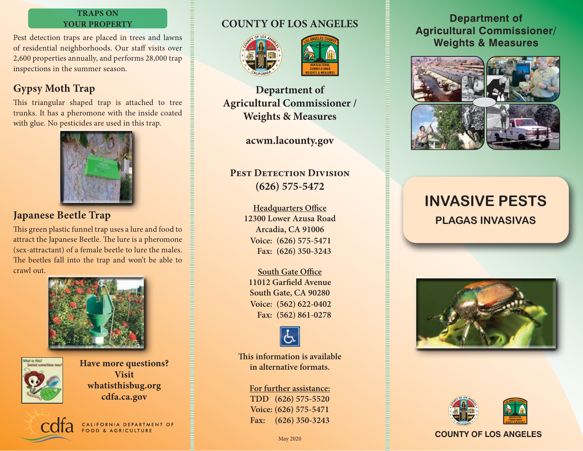#### **TRAPS ON YOUR PROPERTY**

Pest detection traps are placed in trees and lawns of residential neighborhoods. Our staff visits over 2,600 properties annually, and performs 28,000 trap inspections in the summer season.

# **Gypsy Moth Trap**

This triangular shaped trap is attached to tree trunks. It has a pheromone with the inside coated with glue. No pesticides are used in this trap.



## **Japanese Beetle Trap**

This green plastic funnel trap uses a lure and food to attract the Japanese Beetle. The lure is a pheromone (sex-attractant) of a female beetle to lure the males. The beetles fall into the trap and won't be able to crawl out.





**Have more questions? Visit whatisthisbug.org cdfa.ca.gov**



# **COUNTY OF LOS ANGELES**





**Department of Agricultural Commissioner / Weights & Measures**

**acwm.lacounty.gov**

### **PEST DETECTION DIVISION (626) 575-5472**

**Headquarters Office 12300 Lower Azusa Road Arcadia, CA 91006 (626) 575-5471 Voice: (626) 350-3243 Fax:**

**South Gate Office 11012 Garfield Avenue South Gate, CA 90280 (562) 622-0402 Voice: (562) 861-0278 Fax:**



**This information is available in alternative formats.**

# **For further assistance:**

**TDD (626) 575-5520 Voice: (626) 575-5471 Fax: (626) 350-3243**

#### **Department of Agricultural Commissioner/ Weights & Measures**



# **INVASIVE PESTS PLAGAS INVASIVAS**